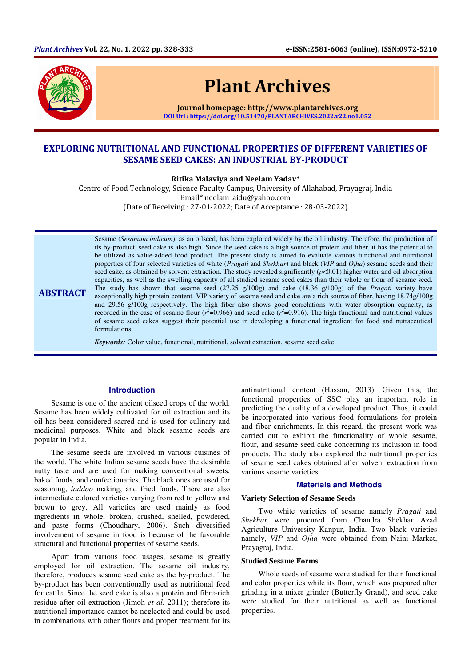

**ABSTRACT** 

# Plant Archives

Journal homepage: http://www.plantarchives.org DOI Url : https://doi.org/10.51470/PLANTARCHIVES.2022.v22.no1.052

## EXPLORING NUTRITIONAL AND FUNCTIONAL PROPERTIES OF DIFFERENT VARIETIES OF SESAME SEED CAKES: AN INDUSTRIAL BY-PRODUCT

Ritika Malaviya and Neelam Yadav\*

Centre of Food Technology, Science Faculty Campus, University of Allahabad, Prayagraj, India Email\* neelam\_aidu@yahoo.com (Date of Receiving : 27-01-2022; Date of Acceptance : 28-03-2022)

Sesame (*Sesamum indicum*), as an oilseed, has been explored widely by the oil industry. Therefore, the production of its by-product, seed cake is also high. Since the seed cake is a high source of protein and fiber, it has the potential to be utilized as value-added food product. The present study is aimed to evaluate various functional and nutritional properties of four selected varieties of white (*Pragati* and *Shekhar*) and black (*VIP* and *Ojha*) sesame seeds and their seed cake, as obtained by solvent extraction. The study revealed significantly (*p*<0.01) higher water and oil absorption capacities, as well as the swelling capacity of all studied sesame seed cakes than their whole or flour of sesame seed. The study has shown that sesame seed (27.25 g/100g) and cake (48.36 g/100g) of the *Pragati* variety have exceptionally high protein content. VIP variety of sesame seed and cake are a rich source of fiber, having 18.74g/100g and 29.56 g/100g respectively. The high fiber also shows good correlations with water absorption capacity, as recorded in the case of sesame flour ( $r^2$ =0.966) and seed cake ( $r^2$ =0.916). The high functional and nutritional values of sesame seed cakes suggest their potential use in developing a functional ingredient for food and nutraceutical formulations.

*Keywords:* Color value, functional, nutritional, solvent extraction, sesame seed cake

## **Introduction**

Sesame is one of the ancient oilseed crops of the world. Sesame has been widely cultivated for oil extraction and its oil has been considered sacred and is used for culinary and medicinal purposes. White and black sesame seeds are popular in India.

The sesame seeds are involved in various cuisines of the world. The white Indian sesame seeds have the desirable nutty taste and are used for making conventional sweets, baked foods, and confectionaries. The black ones are used for seasoning, *laddoo* making, and fried foods. There are also intermediate colored varieties varying from red to yellow and brown to grey. All varieties are used mainly as food ingredients in whole, broken, crushed, shelled, powdered, and paste forms (Choudhary, 2006). Such diversified involvement of sesame in food is because of the favorable structural and functional properties of sesame seeds.

Apart from various food usages, sesame is greatly employed for oil extraction. The sesame oil industry, therefore, produces sesame seed cake as the by-product. The by-product has been conventionally used as nutritional feed for cattle. Since the seed cake is also a protein and fibre-rich residue after oil extraction (Jimoh *et al*. 2011); therefore its nutritional importance cannot be neglected and could be used in combinations with other flours and proper treatment for its

antinutritional content (Hassan, 2013). Given this, the functional properties of SSC play an important role in predicting the quality of a developed product. Thus, it could be incorporated into various food formulations for protein and fiber enrichments. In this regard, the present work was carried out to exhibit the functionality of whole sesame, flour, and sesame seed cake concerning its inclusion in food products. The study also explored the nutritional properties of sesame seed cakes obtained after solvent extraction from various sesame varieties.

## **Materials and Methods**

## **Variety Selection of Sesame Seeds**

Two white varieties of sesame namely *Pragati* and *Shekhar* were procured from Chandra Shekhar Azad Agriculture University Kanpur, India. Two black varieties namely, *VIP* and *Ojha* were obtained from Naini Market, Prayagraj, India.

## **Studied Sesame Forms**

Whole seeds of sesame were studied for their functional and color properties while its flour, which was prepared after grinding in a mixer grinder (Butterfly Grand), and seed cake were studied for their nutritional as well as functional properties.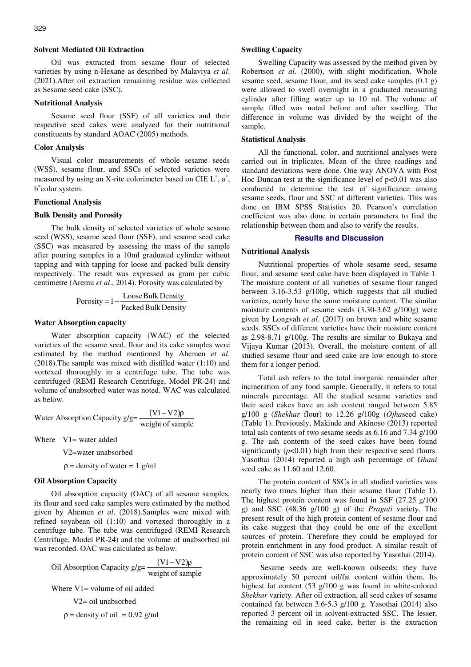Oil was extracted from sesame flour of selected varieties by using n-Hexane as described by Malaviya *et al*. (2021).After oil extraction remaining residue was collected as Sesame seed cake (SSC).

## **Nutritional Analysis**

Sesame seed flour (SSF) of all varieties and their respective seed cakes were analyzed for their nutritional constituents by standard AOAC (2005) methods.

## **Color Analysis**

Visual color measurements of whole sesame seeds (WSS), sesame flour, and SSCs of selected varieties were measured by using an X-rite colorimeter based on CIE  $L^*$ ,  $a^*$ , b ∗ color system.

#### **Functional Analysis**

#### **Bulk Density and Porosity**

The bulk density of selected varieties of whole sesame seed (WSS), sesame seed flour (SSF), and sesame seed cake (SSC) was measured by assessing the mass of the sample after pouring samples in a 10ml graduated cylinder without tapping and with tapping for loose and packed bulk density respectively. The result was expressed as gram per cubic centimetre (Aremu *et al*., 2014). Porosity was calculated by

$$
Porosity = 1 - \frac{Loose Bulk Density}{Packed Bulk Density}
$$

### **Water Absorption capacity**

Water absorption capacity (WAC) of the selected varieties of the sesame seed, flour and its cake samples were estimated by the method mentioned by Ahemen *et al*. (2018).The sample was mixed with distilled water (1:10) and vortexed thoroughly in a centrifuge tube. The tube was centrifuged (REMI Research Centrifuge, Model PR-24) and volume of unabsorbed water was noted. WAC was calculated as below.

Water Absorption Capacity 
$$
g/g = \frac{(V1 - V2)\rho}{weight \space of sample}
$$

Where  $V1=$  water added

V2=water unabsorbed

 $\rho$  = density of water = 1 g/ml

## **Oil Absorption Capacity**

Oil absorption capacity (OAC) of all sesame samples, its flour and seed cake samples were estimated by the method given by Ahemen *et al*. (2018).Samples were mixed with refined soyabean oil (1:10) and vortexed thoroughly in a centrifuge tube. The tube was centrifuged (REMI Research Centrifuge, Model PR-24) and the volume of unabsorbed oil was recorded. OAC was calculated as below.

Oil Absorption Capacity 
$$
g/g = \frac{(V1 - V2)\rho}{\text{weight of sample}}
$$

\nWhere  $V1 = \text{volume of oil added}$ 

\n $V2 = \text{oil unabsorbed}$ 

\n $\rho = \text{density of oil} = 0.92 \, \text{g/ml}$ 

#### **Swelling Capacity**

Swelling Capacity was assessed by the method given by Robertson *et al*. (2000), with slight modification. Whole sesame seed, sesame flour, and its seed cake samples (0.1 g) were allowed to swell overnight in a graduated measuring cylinder after filling water up to 10 ml. The volume of sample filled was noted before and after swelling. The difference in volume was divided by the weight of the sample.

#### **Statistical Analysis**

All the functional, color, and nutritional analyses were carried out in triplicates. Mean of the three readings and standard deviations were done. One way ANOVA with Post Hoc Duncan test at the significance level of  $p<0.01$  was also conducted to determine the test of significance among sesame seeds, flour and SSC of different varieties. This was done on IBM SPSS Statistics 20. Pearson's correlation coefficient was also done in certain parameters to find the relationship between them and also to verify the results.

## **Results and Discussion**

#### **Nutritional Analysis**

Nutritional properties of whole sesame seed, sesame flour, and sesame seed cake have been displayed in Table 1. The moisture content of all varieties of sesame flour ranged between 3.16-3.53 g/100g, which suggests that all studied varieties, nearly have the same moisture content. The similar moisture contents of sesame seeds (3.30-3.62 g/100g) were given by Longvah *et al*. (2017) on brown and white sesame seeds. SSCs of different varieties have their moisture content as 2.98-8.71 g/100g. The results are similar to Bukaya and Vijaya Kumar (2013). Overall, the moisture content of all studied sesame flour and seed cake are low enough to store them for a longer period.

Total ash refers to the total inorganic remainder after incineration of any food sample. Generally, it refers to total minerals percentage. All the studied sesame varieties and their seed cakes have an ash content ranged between 5.85 g/100 g (*Shekhar* flour) to 12.26 g/100g (*Ojha*seed cake) (Table 1). Previously, Makinde and Akinoso (2013) reported total ash contents of two sesame seeds as 6.16 and 7.34 g/100 g. The ash contents of the seed cakes have been found significantly  $(p<0.01)$  high from their respective seed flours. Yasothai (2014) reported a high ash percentage of *Ghani*  seed cake as 11.60 and 12.60.

The protein content of SSCs in all studied varieties was nearly two times higher than their sesame flour (Table 1). The highest protein content was found in SSF (27.25 g/100 g) and SSC (48.36 g/100 g) of the *Pragati* variety. The present result of the high protein content of sesame flour and its cake suggest that they could be one of the excellent sources of protein. Therefore they could be employed for protein enrichment in any food product. A similar result of protein content of SSC was also reported by Yasothai (2014).

 Sesame seeds are well-known oilseeds; they have approximately 50 percent oil/fat content within them. Its highest fat content (53 g/100 g was found in white-colored *Shekhar* variety. After oil extraction, all seed cakes of sesame contained fat between 3.6-5.3 g/100 g. Yasothai (2014) also reported 3 percent oil in solvent-extracted SSC. The lesser, the remaining oil in seed cake, better is the extraction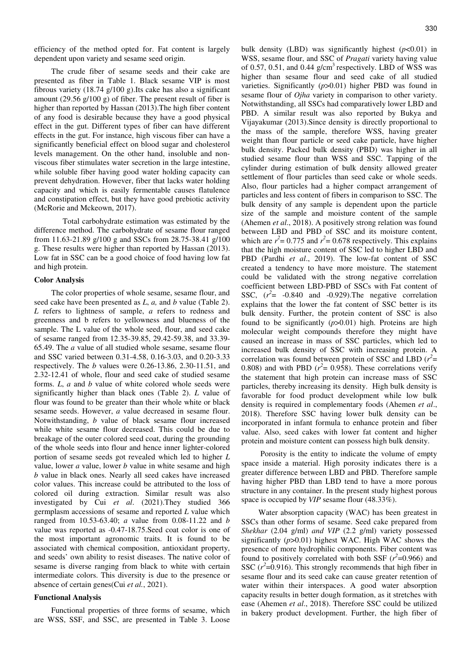efficiency of the method opted for. Fat content is largely dependent upon variety and sesame seed origin.

The crude fiber of sesame seeds and their cake are presented as fiber in Table 1. Black sesame VIP is most fibrous variety (18.74 g/100 g).Its cake has also a significant amount (29.56 g/100 g) of fiber. The present result of fiber is higher than reported by Hassan (2013).The high fiber content of any food is desirable because they have a good physical effect in the gut. Different types of fiber can have different effects in the gut. For instance, high viscous fiber can have a significantly beneficial effect on blood sugar and cholesterol levels management. On the other hand, insoluble and nonviscous fiber stimulates water secretion in the large intestine, while soluble fiber having good water holding capacity can prevent dehydration. However, fiber that lacks water holding capacity and which is easily fermentable causes flatulence and constipation effect, but they have good prebiotic activity (McRorie and Mckeown, 2017).

 Total carbohydrate estimation was estimated by the difference method. The carbohydrate of sesame flour ranged from 11.63-21.89 g/100 g and SSCs from 28.75-38.41 g/100 g. These results were higher than reported by Hassan (2013). Low fat in SSC can be a good choice of food having low fat and high protein.

## **Color Analysis**

The color properties of whole sesame, sesame flour, and seed cake have been presented as *L*, *a,* and *b* value (Table 2). *L* refers to lightness of sample, *a* refers to redness and greenness and b refers to yellowness and blueness of the sample. The L value of the whole seed, flour, and seed cake of sesame ranged from 12.35-39.85, 29.42-59.38, and 33.39- 65.49. The *a* value of all studied whole sesame, sesame flour and SSC varied between 0.31-4.58, 0.16-3.03, and 0.20-3.33 respectively. The *b* values were 0.26-13.86, 2.30-11.51, and 2.32-12.41 of whole, flour and seed cake of studied sesame forms. *L*, *a* and *b* value of white colored whole seeds were significantly higher than black ones (Table 2). *L* value of flour was found to be greater than their whole white or black sesame seeds. However, *a* value decreased in sesame flour. Notwithstanding, *b* value of black sesame flour increased while white sesame flour decreased. This could be due to breakage of the outer colored seed coat, during the grounding of the whole seeds into flour and hence inner lighter-colored portion of sesame seeds got revealed which led to higher *L* value, lower *a* value, lower *b* value in white sesame and high *b* value in black ones. Nearly all seed cakes have increased color values. This increase could be attributed to the loss of colored oil during extraction. Similar result was also investigated by Cui *et al*. (2021).They studied 366 germplasm accessions of sesame and reported *L* value which ranged from 10.53-63.40; *a* value from 0.08-11.22 and *b* value was reported as -0.47-18.75.Seed coat color is one of the most important agronomic traits. It is found to be associated with chemical composition, antioxidant property, and seeds' own ability to resist diseases. The native color of sesame is diverse ranging from black to white with certain intermediate colors. This diversity is due to the presence or absence of certain genes(Cui *et al.*, 2021).

## **Functional Analysis**

Functional properties of three forms of sesame, which are WSS, SSF, and SSC, are presented in Table 3. Loose

bulk density (LBD) was significantly highest (*p*<0.01) in WSS, sesame flour, and SSC of *Pragati* variety having value of 0.57, 0.51, and 0.44  $g/cm<sup>3</sup>$  respectively. LBD of WSS was higher than sesame flour and seed cake of all studied varieties. Significantly (*p*>0.01) higher PBD was found in sesame flour of *Ojha* variety in comparison to other variety. Notwithstanding, all SSCs had comparatively lower LBD and PBD. A similar result was also reported by Bukya and Vijayakumar (2013).Since density is directly proportional to the mass of the sample, therefore WSS, having greater weight than flour particle or seed cake particle, have higher bulk density. Packed bulk density (PBD) was higher in all studied sesame flour than WSS and SSC. Tapping of the cylinder during estimation of bulk density allowed greater settlement of flour particles than seed cake or whole seeds. Also, flour particles had a higher compact arrangement of particles and less content of fibers in comparison to SSC. The bulk density of any sample is dependent upon the particle size of the sample and moisture content of the sample (Ahemen *et al*., 2018). A positively strong relation was found between LBD and PBD of SSC and its moisture content, which are  $r^2 = 0.775$  and  $r^2 = 0.678$  respectively. This explains that the high moisture content of SSC led to higher LBD and PBD (Pardhi *et al*., 2019). The low-fat content of SSC created a tendency to have more moisture. The statement could be validated with the strong negative correlation coefficient between LBD-PBD of SSCs with Fat content of SSC,  $(r^2$  = -0.840 and -0.929). The negative correlation explains that the lower the fat content of SSC better is its bulk density. Further, the protein content of SSC is also found to be significantly (*p*>0.01) high. Proteins are high molecular weight compounds therefore they might have caused an increase in mass of SSC particles, which led to increased bulk density of SSC with increasing protein. A correlation was found between protein of SSC and LBD  $(r^2 =$ 0.808) and with PBD  $(r^2 = 0.958)$ . These correlations verify the statement that high protein can increase mass of SSC particles, thereby increasing its density. High bulk density is favorable for food product development while low bulk density is required in complementary foods (Ahemen *et al*., 2018). Therefore SSC having lower bulk density can be incorporated in infant formula to enhance protein and fiber value. Also, seed cakes with lower fat content and higher protein and moisture content can possess high bulk density.

 Porosity is the entity to indicate the volume of empty space inside a material. High porosity indicates there is a greater difference between LBD and PBD. Therefore sample having higher PBD than LBD tend to have a more porous structure in any container. In the present study highest porous space is occupied by *VIP* sesame flour (48.33%).

Water absorption capacity (WAC) has been greatest in SSCs than other forms of sesame. Seed cake prepared from *Shekhar* (2.04 g/ml) *and VIP* (2.2 g/ml) variety possessed significantly (*p*>0.01) highest WAC. High WAC shows the presence of more hydrophilic components. Fiber content was found to positively correlated with both SSF  $(r^2=0.966)$  and SSC  $(r^2=0.916)$ . This strongly recommends that high fiber in sesame flour and its seed cake can cause greater retention of water within their interspaces. A good water absorption capacity results in better dough formation, as it stretches with ease (Ahemen *et al*., 2018). Therefore SSC could be utilized in bakery product development. Further, the high fiber of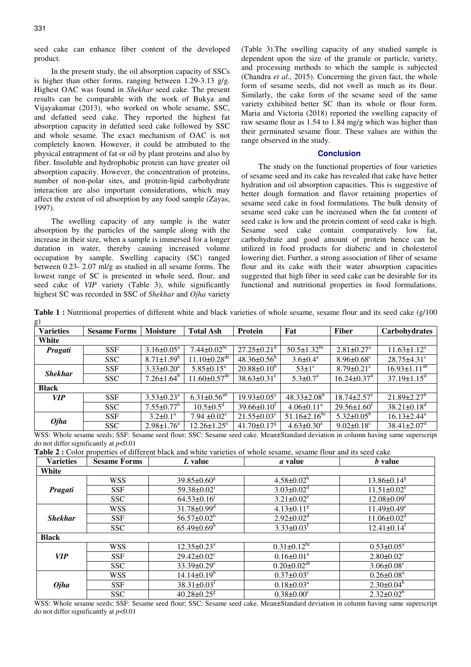seed cake can enhance fiber content of the developed product.

In the present study, the oil absorption capacity of SSCs is higher than other forms, ranging between 1.29-3.13 g/g. Highest OAC was found in *Shekhar* seed cake. The present results can be comparable with the work of Bukya and Vijayakumar (2013), who worked on whole sesame, SSC, and defatted seed cake. They reported the highest fat absorption capacity in defatted seed cake followed by SSC and whole sesame. The exact mechanism of OAC is not completely known. However, it could be attributed to the physical entrapment of fat or oil by plant proteins and also by fiber. Insoluble and hydrophobic protein can have greater oil absorption capacity. However, the concentration of proteins, number of non-polar sites, and protein-lipid carbohydrate interaction are also important considerations, which may affect the extent of oil absorption by any food sample (Zayas, 1997).

The swelling capacity of any sample is the water absorption by the particles of the sample along with the increase in their size, when a sample is immersed for a longer duration in water, thereby causing increased volume occupation by sample. Swelling capacity (SC) ranged between 0.23- 2.07 ml/g as studied in all sesame forms. The lowest range of SC is presented in whole seed, flour, and seed cake of *VIP* variety (Table 3), while significantly highest SC was recorded in SSC of *Shekhar* and *Ojha* variety (Table 3).The swelling capacity of any studied sample is dependent upon the size of the granule or particle, variety, and processing methods to which the sample is subjected (Chandra *et al*., 2015). Concerning the given fact, the whole form of sesame seeds, did not swell as much as its flour. Similarly, the cake form of the sesame seed of the same variety exhibited better SC than its whole or flour form. Maria and Victoria (2018) reported the swelling capacity of raw sesame flour as 1.54 to 1.84 mg/g which was higher than their germinated sesame flour. These values are within the range observed in the study.

## **Conclusion**

The study on the functional properties of four varieties of sesame seed and its cake has revealed that cake have better hydration and oil absorption capacities. This is suggestive of better dough formation and flavor retaining properties of sesame seed cake in food formulations. The bulk density of sesame seed cake can be increased when the fat content of seed cake is low and the protein content of seed cake is high. Sesame seed cake contain comparatively low fat, carbohydrate and good amount of protein hence can be utilized in food products for diabetic and in cholesterol lowering diet. Further, a strong association of fiber of sesame flour and its cake with their water absorption capacities suggested that high fiber in seed cake can be desirable for its functional and nutritional properties in food formulations.

**Table 1 :** Nutritional properties of different white and black varieties of whole sesame, sesame flour and its seed cake (g/100)  $\sigma$ )

| ರ /<br><b>Varieties</b>                                                                                                                                                                                                                                                                                                                                                                                                | <b>Sesame Forms</b> | <b>Moisture</b>           | <b>Total Ash</b>                | <b>Protein</b>                | Fat                                                                                                                                                                                                                                                                                                                                | <b>Fiber</b>                  | Carbohydrates                    |
|------------------------------------------------------------------------------------------------------------------------------------------------------------------------------------------------------------------------------------------------------------------------------------------------------------------------------------------------------------------------------------------------------------------------|---------------------|---------------------------|---------------------------------|-------------------------------|------------------------------------------------------------------------------------------------------------------------------------------------------------------------------------------------------------------------------------------------------------------------------------------------------------------------------------|-------------------------------|----------------------------------|
| White                                                                                                                                                                                                                                                                                                                                                                                                                  |                     |                           |                                 |                               |                                                                                                                                                                                                                                                                                                                                    |                               |                                  |
| Pragati                                                                                                                                                                                                                                                                                                                                                                                                                | <b>SSF</b>          | $3.16 \pm 0.05^a$         | $7.44 \pm 0.02^{\overline{bc}}$ | $27.25 \pm 0.21$ <sup>d</sup> | $50.5 \pm 1.32$ <sup>bc</sup>                                                                                                                                                                                                                                                                                                      | $2.81 \pm 0.27$ <sup>a</sup>  | $11.63 \pm 1.12^a$               |
|                                                                                                                                                                                                                                                                                                                                                                                                                        | <b>SSC</b>          | $8.71 \pm 1.59^b$         | $11.10 \pm 0.28$ <sup>de</sup>  | $48.36 \pm 0.56$ <sup>h</sup> | $3.6 \pm 0.4^{\text{a}}$                                                                                                                                                                                                                                                                                                           | $8.96 \pm 0.68$ <sup>c</sup>  | $28.75 \pm 4.31$ °               |
| <b>Shekhar</b>                                                                                                                                                                                                                                                                                                                                                                                                         | <b>SSF</b>          | $3.33 \pm 0.20^a$         | $5.85 \pm 0.15^a$               | $20.88 \pm 0.10^6$            | $53 \pm 1$ <sup>c</sup>                                                                                                                                                                                                                                                                                                            | $8.79 \pm 0.21$ °             | $16.93 \pm 1.11^{\overline{ab}}$ |
|                                                                                                                                                                                                                                                                                                                                                                                                                        | <b>SSC</b>          | $7.26 \pm 1.64^b$         | $11.60 \pm 0.57$ <sup>de</sup>  | $38.63 \pm 0.31^e$            | $5.3 \pm 0.7^{\text{a}}$                                                                                                                                                                                                                                                                                                           | $16.24 \pm 0.37$ <sup>d</sup> | $37.19 \pm 1.15$ <sup>d</sup>    |
| <b>Black</b>                                                                                                                                                                                                                                                                                                                                                                                                           |                     |                           |                                 |                               |                                                                                                                                                                                                                                                                                                                                    |                               |                                  |
| <b>VIP</b>                                                                                                                                                                                                                                                                                                                                                                                                             | <b>SSF</b>          | $3.53 \pm 0.23^a$         | $6.31 \pm 0.56^{ab}$            | $19.93 \pm 0.05^{\text{a}}$   | $48.33 \pm 2.08^{\circ}$                                                                                                                                                                                                                                                                                                           | $18.74 \pm 2.57$ <sup>e</sup> | $21.89 \pm 2.27$ <sup>b</sup>    |
|                                                                                                                                                                                                                                                                                                                                                                                                                        | <b>SSC</b>          | $7.55 \pm 0.77^b$         | $10.5 \pm 0.5^{\rm d}$          | $39.66 \pm 0.10^{\text{t}}$   | $4.06 \pm 0.11^a$                                                                                                                                                                                                                                                                                                                  | $29.56 \pm 1.60^t$            | $38.21 \pm 0.18$ <sup>d</sup>    |
| <b>Ojha</b>                                                                                                                                                                                                                                                                                                                                                                                                            | <b>SSF</b>          | $3.2 \pm 0.1^a$           | 7.94 $\pm 0.02^{\circ}$         | $21.55 \pm 0.03$ <sup>c</sup> | $51.16 \pm 2.16$ <sup>bc</sup>                                                                                                                                                                                                                                                                                                     | $5.32 \pm 0.05^{\circ}$       | $16.13 \pm 2.44^a$               |
|                                                                                                                                                                                                                                                                                                                                                                                                                        | <b>SSC</b>          | $2.98 \pm 1.76^a$         | $12.26 \pm 1.25$ <sup>e</sup>   | $41.70 \pm 0.17$ <sup>g</sup> | $4.63 \pm 0.30^a$                                                                                                                                                                                                                                                                                                                  | $9.02 \pm 0.18$ <sup>c</sup>  | $38.41 \pm 2.07$ <sup>d</sup>    |
| $\mathbf{X} \mathbf{X} \mathbf{Z} \mathbf{Z} \mathbf{Z} \mathbf{Z} \mathbf{Z} \mathbf{Z} \mathbf{Z} \mathbf{Z} \mathbf{Z} \mathbf{Z} \mathbf{Z} \mathbf{Z} \mathbf{Z} \mathbf{Z} \mathbf{Z} \mathbf{Z} \mathbf{Z} \mathbf{Z} \mathbf{Z} \mathbf{Z} \mathbf{Z} \mathbf{Z} \mathbf{Z} \mathbf{Z} \mathbf{Z} \mathbf{Z} \mathbf{Z} \mathbf{Z} \mathbf{Z} \mathbf{Z} \mathbf{Z} \mathbf{Z} \mathbf{Z} \mathbf{Z} \mathbf{$ | 1.0000              | $\mathbf{1}$ $\mathbf{C}$ | $\sim$ $\sim$ $\sim$            |                               | $\mathbf{1}$ $\mathbf{1}$ $\mathbf{1}$ $\mathbf{1}$ $\mathbf{1}$ $\mathbf{1}$ $\mathbf{1}$ $\mathbf{1}$ $\mathbf{1}$ $\mathbf{1}$ $\mathbf{1}$ $\mathbf{1}$ $\mathbf{1}$ $\mathbf{1}$ $\mathbf{1}$ $\mathbf{1}$ $\mathbf{1}$ $\mathbf{1}$ $\mathbf{1}$ $\mathbf{1}$ $\mathbf{1}$ $\mathbf{1}$ $\mathbf{1}$ $\mathbf{1}$ $\mathbf{$ |                               |                                  |

WSS: Whole sesame seeds; SSF: Sesame seed flour; SSC: Sesame seed cake. Mean±Standard deviation in column having same superscript do not differ significantly at *p*<0.01

**Table 2 :** Color properties of different black and white varieties of whole sesame, sesame flour and its seed cake

| <b>Varieties</b> | <b>Sesame Forms</b> | L value                       | <i>a</i> value                | <i>b</i> value                |  |  |  |
|------------------|---------------------|-------------------------------|-------------------------------|-------------------------------|--|--|--|
| White            |                     |                               |                               |                               |  |  |  |
| Pragati          | <b>WSS</b>          | $39.85 \pm 0.60$ <sup>g</sup> | $4.58 \pm 0.02^{\text{h}}$    | $13.86 \pm 0.14$ <sup>g</sup> |  |  |  |
|                  | <b>SSF</b>          | $59.38 \pm 0.02$ <sup>1</sup> | $3.03 \pm 0.02$ <sup>d</sup>  | $11.51 \pm 0.02^e$            |  |  |  |
|                  | <b>SSC</b>          | $64.53 \pm 0.16$              | $3.21 \pm 0.02^e$             | $12.08 \pm 0.09$ <sup>t</sup> |  |  |  |
| <b>Shekhar</b>   | <b>WSS</b>          | $31.78 \pm 0.99$ <sup>d</sup> | $4.13 \pm 0.11$ <sup>g</sup>  | $11.49 \pm 0.49$ <sup>e</sup> |  |  |  |
|                  | SSF                 | $56.57 \pm 0.02^h$            | $2.92 \pm 0.02$ <sup>d</sup>  | $11.06 \pm 0.02$ <sup>d</sup> |  |  |  |
|                  | <b>SSC</b>          | $65.49 \pm 0.69$ <sup>h</sup> | $3.33 \pm 0.03$ <sup>f</sup>  | $12.41 \pm 0.14$ <sup>t</sup> |  |  |  |
| <b>Black</b>     |                     |                               |                               |                               |  |  |  |
|                  | <b>WSS</b>          | $12.35 \pm 0.23^a$            | $0.31 \pm 0.12^{bc}$          | $0.53 \pm 0.05^a$             |  |  |  |
| <b>VIP</b>       | <b>SSF</b>          | $29.42 \pm 0.02$ <sup>c</sup> | $0.16 \pm 0.01^a$             | $2.80 \pm 0.02$ <sup>c</sup>  |  |  |  |
|                  | <b>SSC</b>          | $33.39 \pm 0.29$ <sup>e</sup> | $0.20 \pm 0.02$ <sup>ab</sup> | $3.06 \pm 0.08$ <sup>c</sup>  |  |  |  |
| <b>Ojha</b>      | <b>WSS</b>          | $14.14 \pm 0.19^b$            | $0.37 \pm 0.03$ <sup>c</sup>  | $0.26 \pm 0.08^a$             |  |  |  |
|                  | <b>SSF</b>          | $38.31 \pm 0.03$ <sup>t</sup> | $0.18 \pm 0.03^{\text{a}}$    | $2.30\pm0.04^b$               |  |  |  |
|                  | <b>SSC</b>          | $40.28 \pm 0.25$ <sup>g</sup> | $0.38 \pm 0.00$ <sup>c</sup>  | $2.32 \pm 0.02^b$             |  |  |  |

WSS: Whole sesame seeds; SSF: Sesame seed flour; SSC: Sesame seed cake. Mean±Standard deviation in column having same superscript do not differ significantly at *p*<0.01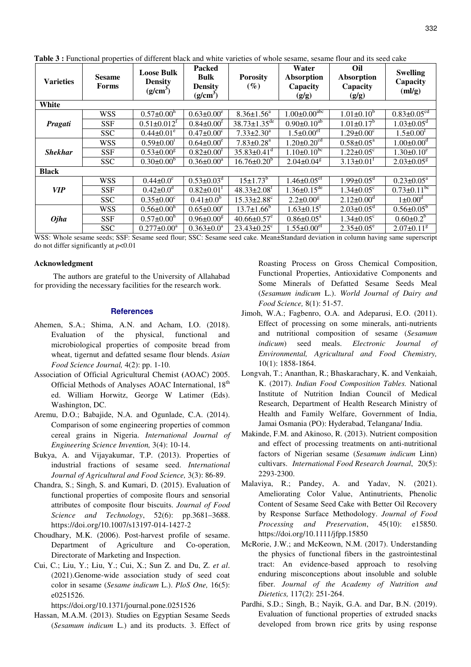| <b>Varieties</b> | <b>Sesame</b><br>Forms | <b>Loose Bulk</b><br><b>Density</b><br>(g/cm <sup>3</sup> ) | <b>Packed</b><br><b>Bulk</b><br><b>Density</b><br>(g/cm <sup>3</sup> ) | <b>Porosity</b><br>$(\%)$      | Water<br>Absorption<br>Capacity<br>(g/g) | Oil<br>Absorption<br>Capacity<br>(g/g) | <b>Swelling</b><br>Capacity<br>(ml/g) |
|------------------|------------------------|-------------------------------------------------------------|------------------------------------------------------------------------|--------------------------------|------------------------------------------|----------------------------------------|---------------------------------------|
| White            |                        |                                                             |                                                                        |                                |                                          |                                        |                                       |
| Pragati          | <b>WSS</b>             | $0.57 \pm 0.00^h$                                           | $0.63 \pm 0.00^e$                                                      | $8.36 \pm 1.56^a$              | $1.00 \pm 0.00$ <sup>abc</sup>           | $1.01 \pm 0.10^b$                      | $0.83 \pm 0.05$ <sup>cd</sup>         |
|                  | <b>SSF</b>             | $0.51 \pm 0.012$ <sup>f</sup>                               | $0.84 \pm 0.00^{\text{t}}$                                             | $38.73 \pm 1.35$ <sup>de</sup> | $0.90 \pm 0.10^{ab}$                     | $1.01 \pm 0.17^b$                      | $1.03 \pm 0.05$ <sup>d</sup>          |
|                  | <b>SSC</b>             | $0.44 \pm 0.01^e$                                           | $0.47 \pm 0.00^{\circ}$                                                | $7.33 \pm 2.30^a$              | $1.5 \pm 0.00$ <sup>ef</sup>             | $1.29 \pm 0.00^{\circ}$                | $1.5 \pm 0.00^{\text{f}}$             |
| <b>Shekhar</b>   | <b>WSS</b>             | $0.59 \pm 0.00$ <sup>1</sup>                                | $0.64 \pm 0.00^e$                                                      | $7.83 \pm 0.28$ <sup>a</sup>   | $1.20 \pm 0.20$ <sup>cd</sup>            | $0.58 \pm 0.05^{\text{a}}$             | $1.00 \pm 0.00$ <sup>d</sup>          |
|                  | <b>SSF</b>             | $0.53 \pm 0.00$ <sup>g</sup>                                | $0.82 \pm 0.00$ <sup>f</sup>                                           | $35.83 \pm 0.41$ <sup>d</sup>  | $1.10\pm0.10^{bc}$                       | $1.22 \pm 0.05$ <sup>c</sup>           | $1.30 \pm 0.10^e$                     |
|                  | <b>SSC</b>             | $0.30 \pm 0.00^{\circ}$                                     | $0.36 \pm 0.00^a$                                                      | $16.76 \pm 0.20^b$             | $2.04 \pm 0.04$ <sup>g</sup>             | $3.13 \pm 0.01^{\text{T}}$             | $2.03 \pm 0.05$ <sup>g</sup>          |
| <b>Black</b>     |                        |                                                             |                                                                        |                                |                                          |                                        |                                       |
| <b>VIP</b>       | <b>WSS</b>             | $0.44 \pm 0.0^e$                                            | $0.53 \pm 0.03^d$                                                      | $15 \pm 1.73^b$                | $1.46 \pm 0.05$ <sup>ef</sup>            | $1.99 \pm 0.05$ <sup>d</sup>           | $0.23 \pm 0.05^a$                     |
|                  | <b>SSF</b>             | $0.42 \pm 0.0^d$                                            | $0.82 \pm 0.01$ <sup>f</sup>                                           | $48.33 \pm 2.08$ <sup>f</sup>  | $1.36 \pm 0.15^{\overline{de}}$          | $1.34 \pm 0.05$ <sup>c</sup>           | $0.73 \pm 0.11^{\overline{bc}}$       |
|                  | <b>SSC</b>             | $0.35 \pm 0.00^{\circ}$                                     | $0.41 \pm 0.0^b$                                                       | $15.33 \pm 2.88$ <sup>c</sup>  | $2.2 \pm 0.00^8$                         | $2.12 \pm 0.00$ <sup>d</sup>           | $1 \pm 0.00^d$                        |
| <b>Ojha</b>      | <b>WSS</b>             | $0.56 \pm 0.00$ <sup>h</sup>                                | $0.65 \pm 0.00^e$                                                      | $13.7 \pm 1.66^b$              | $1.63 \pm 0.15$ <sup>t</sup>             | $2.03 \pm 0.05$ <sup>d</sup>           | $0.56 \pm 0.05^b$                     |
|                  | <b>SSF</b>             | $0.57 \pm 0.00^h$                                           | $0.96 \pm 0.00$ <sup>g</sup>                                           | $40.66 \pm 0.57$ <sup>e</sup>  | $0.86 \pm 0.05^{\text{a}}$               | $1.34 \pm 0.05$ <sup>c</sup>           | $0.60 \pm 0.2^b$                      |
|                  | <b>SSC</b>             | $0.277 \pm 0.00^a$                                          | $0.363 \pm 0.0^a$                                                      | $23.43 \pm 0.25$ °             | $1.55 \pm 0.00$ <sup>ef</sup>            | $2.35 \pm 0.05^e$                      | $2.07 \pm 0.11$ <sup>g</sup>          |

Table 3 : Functional properties of different black and white varieties of whole sesame, sesame flour and its seed cake

WSS: Whole sesame seeds; SSF: Sesame seed flour; SSC: Sesame seed cake. Mean±Standard deviation in column having same superscript do not differ significantly at  $p<0.01$ 

## Acknowledgment

The authors are grateful to the University of Allahabad for providing the necessary facilities for the research work.

#### **References**

- Ahemen, S.A.; Shima, A.N. and Acham, I.O. (2018). Evaluation of the physical, functional and microbiological properties of composite bread from wheat, tigernut and defatted sesame flour blends. Asian Food Science Journal, 4(2): pp. 1-10.
- Association of Official Agricultural Chemist (AOAC) 2005. Official Methods of Analyses AOAC International, 18<sup>th</sup> ed. William Horwitz, George W Latimer (Eds). Washington, DC.
- Aremu, D.O.; Babajide, N.A. and Ogunlade, C.A. (2014). Comparison of some engineering properties of common cereal grains in Nigeria. International Journal of Engineering Science Invention, 3(4): 10-14.
- Bukya, A. and Vijayakumar, T.P. (2013). Properties of industrial fractions of sesame seed. International Journal of Agricultural and Food Science, 3(3): 86-89.
- Chandra, S.; Singh, S. and Kumari, D. (2015). Evaluation of functional properties of composite flours and sensorial attributes of composite flour biscuits. Journal of Food Science and Technology, 52(6): pp.3681-3688. https://doi.org/10.1007/s13197-014-1427-2
- Choudhary, M.K. (2006). Post-harvest profile of sesame. Department of Agriculture and Co-operation. Directorate of Marketing and Inspection.
- Cui, C.; Liu, Y.; Liu, Y.; Cui, X.; Sun Z. and Du, Z. et al. (2021).Genome-wide association study of seed coat color in sesame (Sesame indicum L.). PloS One, 16(5): e0251526.

https://doi.org/10.1371/journal.pone.0251526

Hassan, M.A.M. (2013). Studies on Egyptian Sesame Seeds (Sesamum indicum L.) and its products. 3. Effect of Roasting Process on Gross Chemical Composition, Functional Properties, Antioxidative Components and Some Minerals of Defatted Sesame Seeds Meal (Sesamum indicum L.). World Journal of Dairy and Food Science, 8(1): 51-57.

- Jimoh, W.A.; Fagbenro, O.A. and Adeparusi, E.O. (2011). Effect of processing on some minerals, anti-nutrients and nutritional composition of sesame (Sesamum *indicum*) seed meals. Electronic Journal  $of$ Environmental, Agricultural and Food Chemistry,  $10(1)$ : 1858-1864.
- Longvah, T.; Ananthan, R.; Bhaskarachary, K. and Venkaiah, K. (2017). Indian Food Composition Tables. National Institute of Nutrition Indian Council of Medical Research, Department of Health Research Ministry of Health and Family Welfare, Government of India, Jamai Osmania (PO): Hyderabad, Telangana/ India.
- Makinde, F.M. and Akinoso, R. (2013). Nutrient composition and effect of processing treatments on anti-nutritional factors of Nigerian sesame (Sesamum indicum Linn) cultivars. International Food Research Journal, 20(5): 2293-2300.
- Malaviya, R.; Pandey, A. and Yadav, N. (2021). Ameliorating Color Value, Antinutrients, Phenolic Content of Sesame Seed Cake with Better Oil Recovery by Response Surface Methodology. Journal of Food Processing and Preservation, 45(10): e15850. https://doi.org/10.1111/jfpp.15850
- McRorie, J.W.; and McKeown, N.M. (2017). Understanding the physics of functional fibers in the gastrointestinal tract: An evidence-based approach to resolving enduring misconceptions about insoluble and soluble fiber. Journal of the Academy of Nutrition and Dietetics, 117(2): 251-264.
- Pardhi, S.D.; Singh, B.; Nayik, G.A. and Dar, B.N. (2019). Evaluation of functional properties of extruded snacks developed from brown rice grits by using response